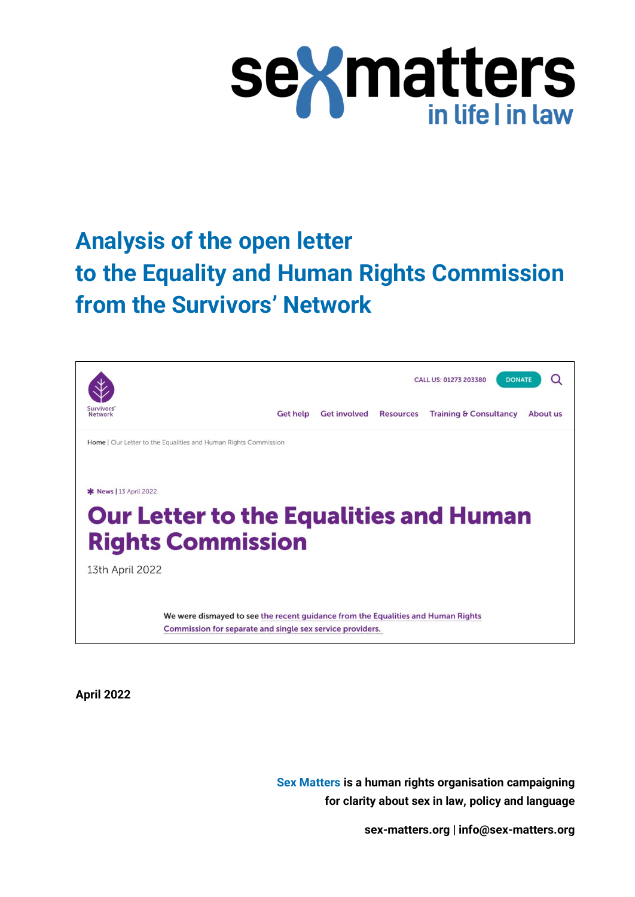

# **Analysis of the open letter to the Equality and Human Rights Commission from the Survivors' Network**



**April 2022**

**Sex Matters is a human rights organisation campaigning for clarity about sex in law, policy and language**

**[sex-matters.org](https://sex-matters.org/) [| info@sex-matters.org](mailto:info@sex-matters.org)**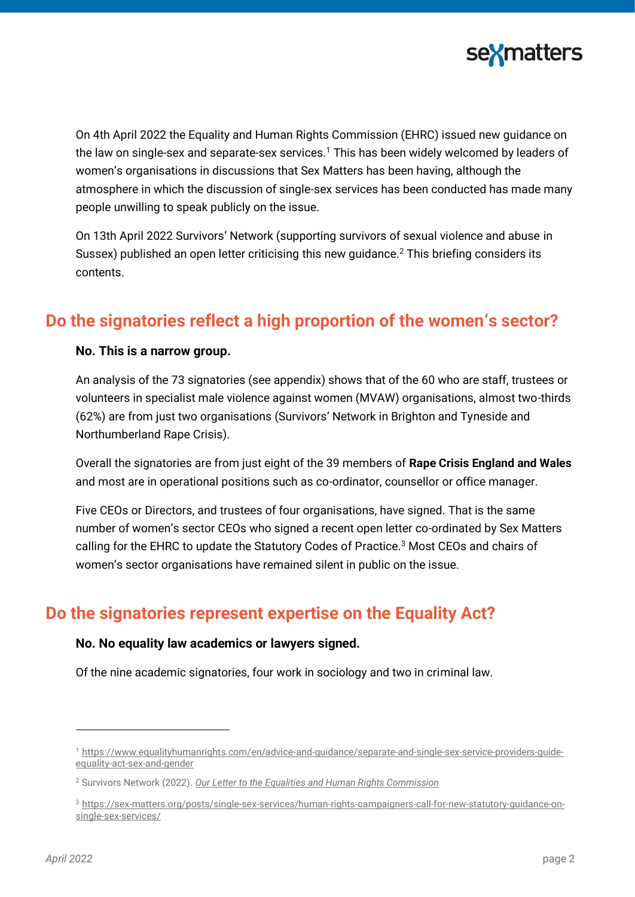

On 4th April 2022 the Equality and Human Rights Commission (EHRC) issued new guidance on the law on single-sex and separate-sex services.<sup>1</sup> This has been widely welcomed by leaders of women's organisations in discussions that Sex Matters has been having, although the atmosphere in which the discussion of single-sex services has been conducted has made many people unwilling to speak publicly on the issue.

On 13th April 2022 Survivors' Network (supporting survivors of sexual violence and abuse in Sussex) published an open letter criticising this new quidance.<sup>2</sup> This briefing considers its contents.

### **Do the signatories reflect a high proportion of the women's sector?**

#### **No. This is a narrow group.**

An analysis of the 73 signatories (see appendix) shows that of the 60 who are staff, trustees or volunteers in specialist male violence against women (MVAW) organisations, almost two-thirds (62%) are from just two organisations (Survivors' Network in Brighton and Tyneside and Northumberland Rape Crisis).

Overall the signatories are from just eight of the 39 members of **Rape Crisis England and Wales** and most are in operational positions such as co-ordinator, counsellor or office manager.

Five CEOs or Directors, and trustees of four organisations, have signed. That is the same number of women's sector CEOs who signed a recent open letter co-ordinated by Sex Matters calling for the EHRC to update the Statutory Codes of Practice.<sup>3</sup> Most CEOs and chairs of women's sector organisations have remained silent in public on the issue.

### **Do the signatories represent expertise on the Equality Act?**

#### **No. No equality law academics or lawyers signed.**

Of the nine academic signatories, four work in sociology and two in criminal law.

<sup>1</sup> [https://www.equalityhumanrights.com/en/advice-and-guidance/separate-and-single-sex-service-providers-guide](https://www.equalityhumanrights.com/en/advice-and-guidance/separate-and-single-sex-service-providers-guide-equality-act-sex-and-gender)[equality-act-sex-and-gender](https://www.equalityhumanrights.com/en/advice-and-guidance/separate-and-single-sex-service-providers-guide-equality-act-sex-and-gender)

<sup>2</sup> Survivors Network (2022). *[Our Letter to the Equalities and Human Rights Commission](https://survivorsnetwork.org.uk/our-letter-to-the-equalities-and-human-rights-commission/)*

<sup>3</sup> [https://sex-matters.org/posts/single-sex-services/human-rights-campaigners-call-for-new-statutory-guidance-on](https://sex-matters.org/posts/single-sex-services/human-rights-campaigners-call-for-new-statutory-guidance-on-single-sex-services/)[single-sex-services/](https://sex-matters.org/posts/single-sex-services/human-rights-campaigners-call-for-new-statutory-guidance-on-single-sex-services/)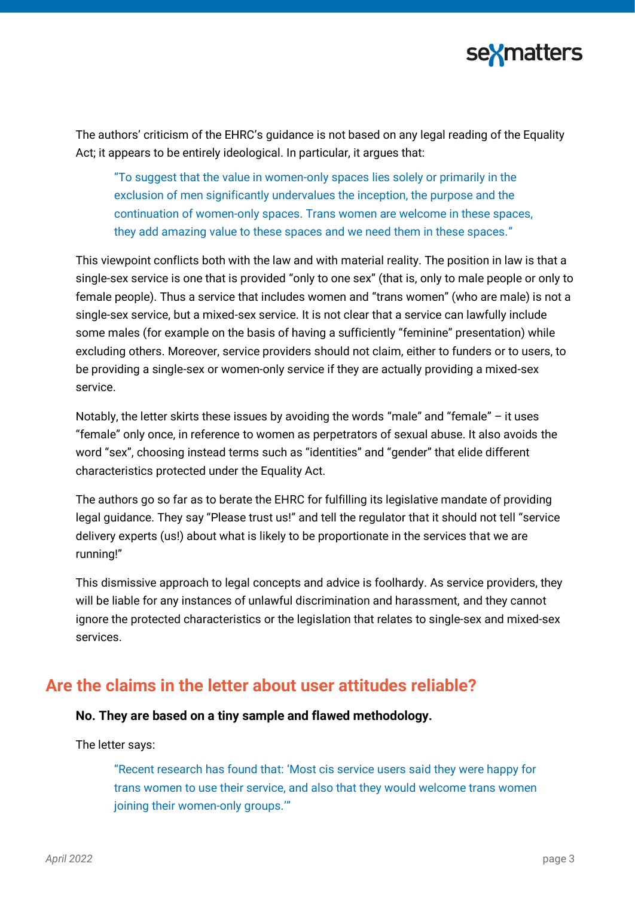

The authors' criticism of the EHRC's guidance is not based on any legal reading of the Equality Act; it appears to be entirely ideological. In particular, it argues that:

"To suggest that the value in women-only spaces lies solely or primarily in the exclusion of men significantly undervalues the inception, the purpose and the continuation of women-only spaces. Trans women are welcome in these spaces, they add amazing value to these spaces and we need them in these spaces."

This viewpoint conflicts both with the law and with material reality. The position in law is that a single-sex service is one that is provided "only to one sex" (that is, only to male people or only to female people). Thus a service that includes women and "trans women" (who are male) is not a single-sex service, but a mixed-sex service. It is not clear that a service can lawfully include some males (for example on the basis of having a sufficiently "feminine" presentation) while excluding others. Moreover, service providers should not claim, either to funders or to users, to be providing a single-sex or women-only service if they are actually providing a mixed-sex service.

Notably, the letter skirts these issues by avoiding the words "male" and "female" – it uses "female" only once, in reference to women as perpetrators of sexual abuse. It also avoids the word "sex", choosing instead terms such as "identities" and "gender" that elide different characteristics protected under the Equality Act.

The authors go so far as to berate the EHRC for fulfilling its legislative mandate of providing legal guidance. They say "Please trust us!" and tell the regulator that it should not tell "service" delivery experts (us!) about what is likely to be proportionate in the services that we are running!"

This dismissive approach to legal concepts and advice is foolhardy. As service providers, they will be liable for any instances of unlawful discrimination and harassment, and they cannot ignore the protected characteristics or the legislation that relates to single-sex and mixed-sex services.

### **Are the claims in the letter about user attitudes reliable?**

#### **No. They are based on a tiny sample and flawed methodology.**

The letter says:

"Recent research has found that: 'Most cis service users said they were happy for trans women to use their service, and also that they would welcome trans women joining their women-only groups."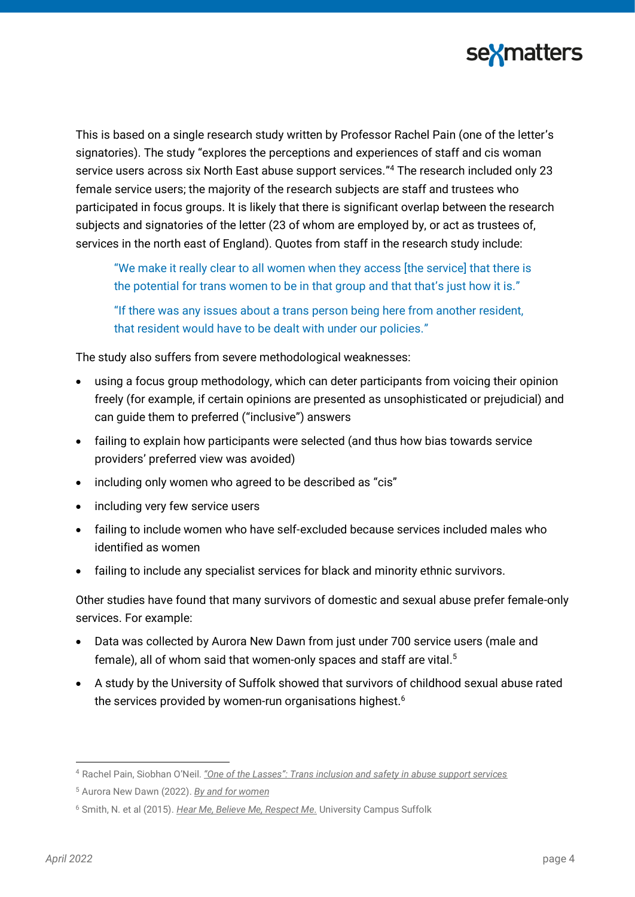

This is based on a single research study written by Professor Rachel Pain (one of the letter's signatories). The study "explores the perceptions and experiences of staff and cis woman service users across six North East abuse support services." <sup>4</sup> The research included only 23 female service users; the majority of the research subjects are staff and trustees who participated in focus groups. It is likely that there is significant overlap between the research subjects and signatories of the letter (23 of whom are employed by, or act as trustees of, services in the north east of England). Quotes from staff in the research study include:

"We make it really clear to all women when they access [the service] that there is the potential for trans women to be in that group and that that's just how it is." "If there was any issues about a trans person being here from another resident, that resident would have to be dealt with under our policies."

The study also suffers from severe methodological weaknesses:

- using a focus group methodology, which can deter participants from voicing their opinion freely (for example, if certain opinions are presented as unsophisticated or prejudicial) and can guide them to preferred ("inclusive") answers
- failing to explain how participants were selected (and thus how bias towards service providers' preferred view was avoided)
- including only women who agreed to be described as "cis"
- including very few service users
- failing to include women who have self-excluded because services included males who identified as women
- failing to include any specialist services for black and minority ethnic survivors.

Other studies have found that many survivors of domestic and sexual abuse prefer female-only services. For example:

- Data was collected by Aurora New Dawn from just under 700 service users (male and female), all of whom said that women-only spaces and staff are vital. 5
- A study by the University of Suffolk showed that survivors of childhood sexual abuse rated the services provided by women-run organisations highest. 6

<sup>4</sup> Rachel Pain, Siobhan O'Neil. *"One of the Lasses"[: Trans inclusion and safety in abuse support services](https://www.ncl.ac.uk/mediav8/gps/files/One%20of%20the%20Lasses%20Report.pdf)*

<sup>5</sup> Aurora New Dawn (2022). *[By and for women](https://www.aurorand.org.uk/wp-content/uploads/2022/03/By-Women-for-Women.pdf)*

<sup>6</sup> Smith, N. et al (2015). *[Hear Me, Believe Me, Respect Me.](https://www.basw.co.uk/resources/hear-me-believe-me-respect-me)* University Campus Suffolk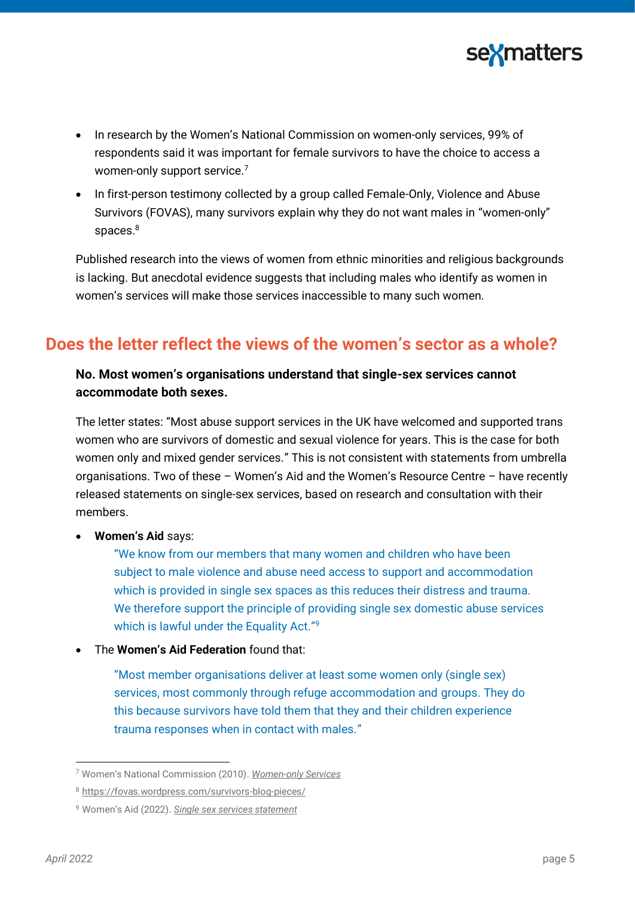

- In research by the Women's National Commission on women-only services, 99% of respondents said it was important for female survivors to have the choice to access a women-only support service.<sup>7</sup>
- In first-person testimony collected by a group called Female-Only, Violence and Abuse Survivors (FOVAS), many survivors explain why they do not want males in "women-only" spaces.<sup>8</sup>

Published research into the views of women from ethnic minorities and religious backgrounds is lacking. But anecdotal evidence suggests that including males who identify as women in women's services will make those services inaccessible to many such women.

### **Does the letter reflect the views of the women's sector as a whole?**

### **No. Most women's organisations understand that single-sex services cannot accommodate both sexes.**

The letter states: "Most abuse support services in the UK have welcomed and supported trans women who are survivors of domestic and sexual violence for years. This is the case for both women only and mixed gender services." This is not consistent with statements from umbrella organisations. Two of these – Women's Aid and the Women's Resource Centre – have recently released statements on single-sex services, based on research and consultation with their members.

• **Women's Aid** says:

"We know from our members that many women and children who have been subject to male violence and abuse need access to support and accommodation which is provided in single sex spaces as this reduces their distress and trauma. We therefore support the principle of providing single sex domestic abuse services which is lawful under the Equality Act."<sup>9</sup>

• The **Women's Aid Federation** found that:

"Most member organisations deliver at least some women only (single sex) services, most commonly through refuge accommodation and groups. They do this because survivors have told them that they and their children experience trauma responses when in contact with males."

<sup>7</sup> Women's National Commission (2010). *[Women-only Services](http://wnc.equalities.gov.uk/publications/doc_download/451-findings-from-the-wnc-survey-on%20women-only-services.html)*

<sup>8</sup> <https://fovas.wordpress.com/survivors-blog-pieces/>

<sup>9</sup> Women's Aid (2022). *[Single sex services statement](https://www.womensaid.org.uk/womens-aid-single-sex-services-statement/)*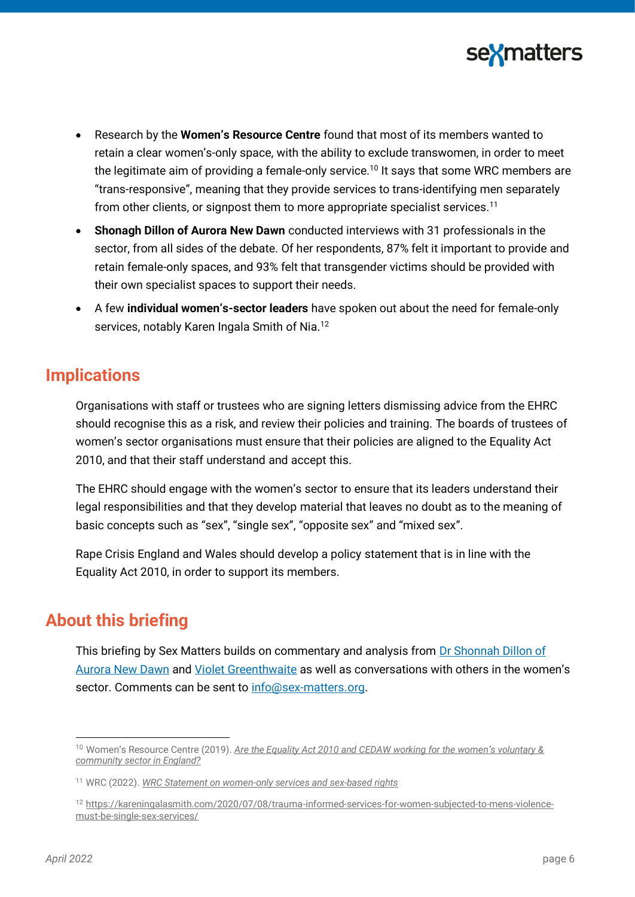

- Research by the **Women's Resource Centre** found that most of its members wanted to retain a clear women's-only space, with the ability to exclude transwomen, in order to meet the legitimate aim of providing a female-only service.<sup>10</sup> It says that some WRC members are "trans-responsive", meaning that they provide services to trans-identifying men separately from other clients, or signpost them to more appropriate specialist services.<sup>11</sup>
- **Shonagh Dillon of Aurora New Dawn** conducted interviews with 31 professionals in the sector, from all sides of the debate. Of her respondents, 87% felt it important to provide and retain female-only spaces, and 93% felt that transgender victims should be provided with their own specialist spaces to support their needs.
- A few **individual women's-sector leaders** have spoken out about the need for female-only services, notably Karen Ingala Smith of Nia.<sup>12</sup>

### **Implications**

Organisations with staff or trustees who are signing letters dismissing advice from the EHRC should recognise this as a risk, and review their policies and training. The boards of trustees of women's sector organisations must ensure that their policies are aligned to the Equality Act 2010, and that their staff understand and accept this.

The EHRC should engage with the women's sector to ensure that its leaders understand their legal responsibilities and that they develop material that leaves no doubt as to the meaning of basic concepts such as "sex", "single sex", "opposite sex" and "mixed sex".

Rape Crisis England and Wales should develop a policy statement that is in line with the Equality Act 2010, in order to support its members.

### **About this briefing**

This briefing by Sex Matters builds on commentary and analysis from Dr Shonnah Dillon of [Aurora New Dawn](https://shonaghdillon.co.uk/survivors-network-letter-to-the-ehrc/) and [Violet Greenthwaite](https://twitter.com/VGreenwhite/status/%20%201515388427587489794?s=20&t=_Rii5cFLuHKodYgY8lpYYQ) as well as conversations with others in the women's sector. Comments can be sent to [info@sex-matters.org.](mailto:info@sex-matters.org)

<sup>10</sup> Women's Resource Centre (2019). *[Are the Equality Act 2010 and CEDAW working for the women](https://www.wrc.org.uk/Handlers/Download.ashx?IDMF=d059f31c-78e5-45df-9e3e-7a59f869b19a)'s voluntary & [community sector in England?](https://www.wrc.org.uk/Handlers/Download.ashx?IDMF=d059f31c-78e5-45df-9e3e-7a59f869b19a)*

<sup>11</sup> WRC (2022). *[WRC Statement on women-only services and sex-based rights](https://www.wrc.org.uk/blog/wrc-statement-on-women-only-services-and-sex-based-rights)*

<sup>12</sup> [https://kareningalasmith.com/2020/07/08/trauma-informed-services-for-women-subjected-to-mens-violence](https://kareningalasmith.com/2020/07/08/trauma-informed-services-for-women-subjected-to-mens-violence-must-be-single-sex-services/)[must-be-single-sex-services/](https://kareningalasmith.com/2020/07/08/trauma-informed-services-for-women-subjected-to-mens-violence-must-be-single-sex-services/)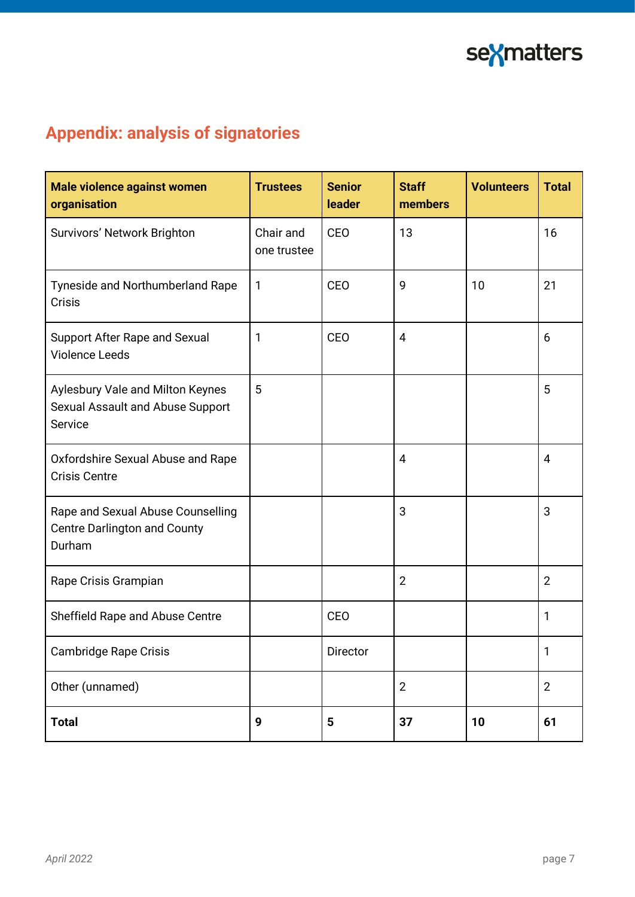

## **Appendix: analysis of signatories**

| Male violence against women<br>organisation                                        | <b>Trustees</b>          | <b>Senior</b><br><b>leader</b> | <b>Staff</b><br>members | <b>Volunteers</b> | <b>Total</b>   |
|------------------------------------------------------------------------------------|--------------------------|--------------------------------|-------------------------|-------------------|----------------|
| Survivors' Network Brighton                                                        | Chair and<br>one trustee | CEO                            | 13                      |                   | 16             |
| Tyneside and Northumberland Rape<br>Crisis                                         | 1                        | CEO                            | 9                       | 10                | 21             |
| <b>Support After Rape and Sexual</b><br><b>Violence Leeds</b>                      | 1                        | CEO                            | $\overline{4}$          |                   | 6              |
| Aylesbury Vale and Milton Keynes<br>Sexual Assault and Abuse Support<br>Service    | 5                        |                                |                         |                   | 5              |
| Oxfordshire Sexual Abuse and Rape<br><b>Crisis Centre</b>                          |                          |                                | $\overline{4}$          |                   | $\overline{4}$ |
| Rape and Sexual Abuse Counselling<br><b>Centre Darlington and County</b><br>Durham |                          |                                | 3                       |                   | 3              |
| Rape Crisis Grampian                                                               |                          |                                | $\overline{2}$          |                   | $\overline{2}$ |
| Sheffield Rape and Abuse Centre                                                    |                          | CEO                            |                         |                   | 1              |
| Cambridge Rape Crisis                                                              |                          | Director                       |                         |                   | Τ              |
| Other (unnamed)                                                                    |                          |                                | $\mathbf{2}$            |                   | $\overline{2}$ |
| <b>Total</b>                                                                       | 9                        | $5\phantom{1}$                 | 37                      | 10                | 61             |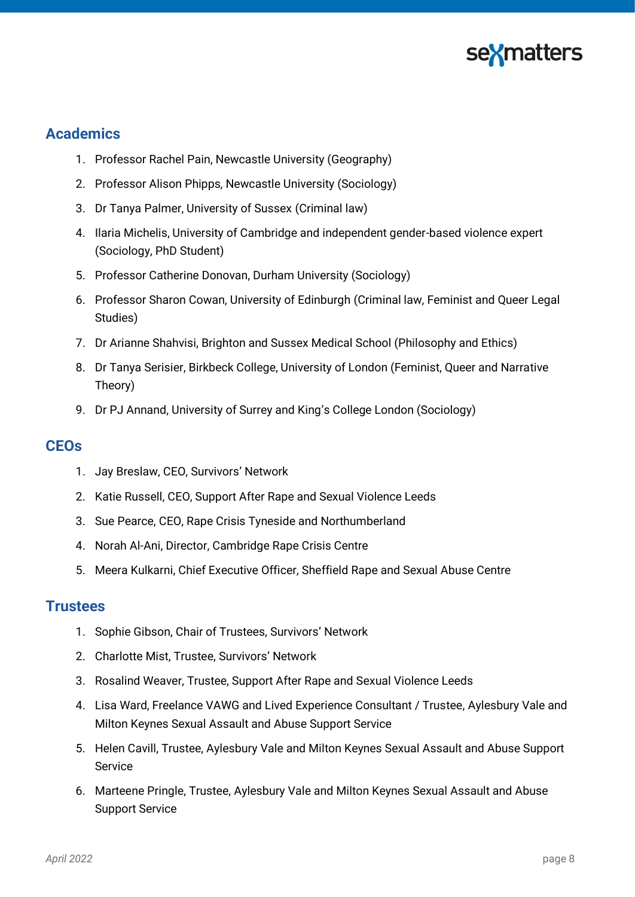

### **Academics**

- 1. Professor Rachel Pain, Newcastle University (Geography)
- 2. Professor Alison Phipps, Newcastle University (Sociology)
- 3. Dr Tanya Palmer, University of Sussex (Criminal law)
- 4. Ilaria Michelis, University of Cambridge and independent gender-based violence expert (Sociology, PhD Student)
- 5. Professor Catherine Donovan, Durham University (Sociology)
- 6. Professor Sharon Cowan, University of Edinburgh (Criminal law, Feminist and Queer Legal Studies)
- 7. Dr Arianne Shahvisi, Brighton and Sussex Medical School (Philosophy and Ethics)
- 8. Dr Tanya Serisier, Birkbeck College, University of London (Feminist, Queer and Narrative Theory)
- 9. Dr PJ Annand, University of Surrey and King's College London (Sociology)

### **CEOs**

- 1. Jay Breslaw, CEO, Survivors' Network
- 2. Katie Russell, CEO, Support After Rape and Sexual Violence Leeds
- 3. Sue Pearce, CEO, Rape Crisis Tyneside and Northumberland
- 4. Norah Al-Ani, Director, Cambridge Rape Crisis Centre
- 5. Meera Kulkarni, Chief Executive Officer, Sheffield Rape and Sexual Abuse Centre

#### **Trustees**

- 1. Sophie Gibson, Chair of Trustees, Survivors' Network
- 2. Charlotte Mist, Trustee, Survivors' Network
- 3. Rosalind Weaver, Trustee, Support After Rape and Sexual Violence Leeds
- 4. Lisa Ward, Freelance VAWG and Lived Experience Consultant / Trustee, Aylesbury Vale and Milton Keynes Sexual Assault and Abuse Support Service
- 5. Helen Cavill, Trustee, Aylesbury Vale and Milton Keynes Sexual Assault and Abuse Support Service
- 6. Marteene Pringle, Trustee, Aylesbury Vale and Milton Keynes Sexual Assault and Abuse Support Service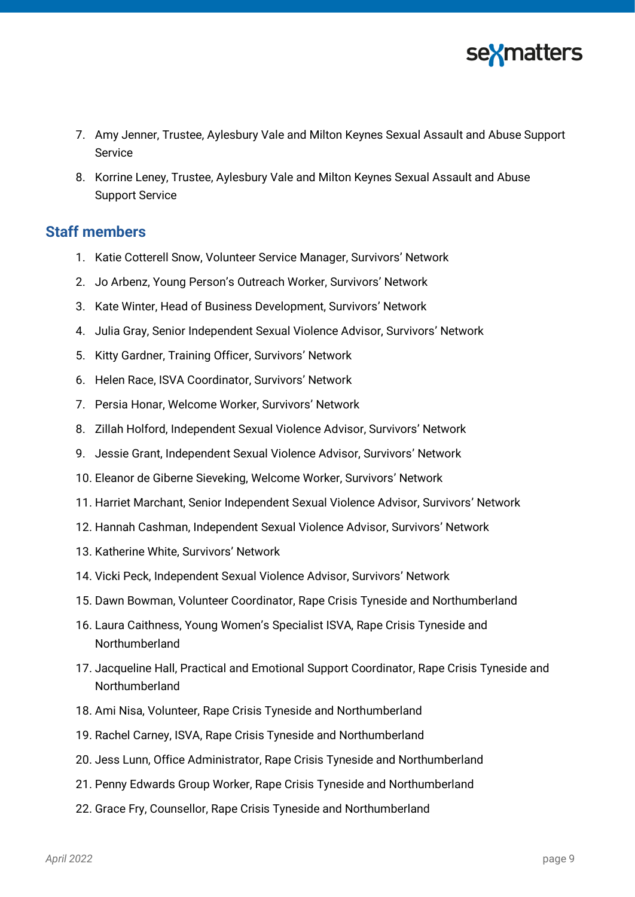

- 7. Amy Jenner, Trustee, Aylesbury Vale and Milton Keynes Sexual Assault and Abuse Support Service
- 8. Korrine Leney, Trustee, Aylesbury Vale and Milton Keynes Sexual Assault and Abuse Support Service

### **Staff members**

- 1. Katie Cotterell Snow, Volunteer Service Manager, Survivors' Network
- 2. Jo Arbenz, Young Person's Outreach Worker, Survivors' Network
- 3. Kate Winter, Head of Business Development, Survivors' Network
- 4. Julia Gray, Senior Independent Sexual Violence Advisor, Survivors' Network
- 5. Kitty Gardner, Training Officer, Survivors' Network
- 6. Helen Race, ISVA Coordinator, Survivors' Network
- 7. Persia Honar, Welcome Worker, Survivors' Network
- 8. Zillah Holford, Independent Sexual Violence Advisor, Survivors' Network
- 9. Jessie Grant, Independent Sexual Violence Advisor, Survivors' Network
- 10. Eleanor de Giberne Sieveking, Welcome Worker, Survivors' Network
- 11. Harriet Marchant, Senior Independent Sexual Violence Advisor, Survivors' Network
- 12. Hannah Cashman, Independent Sexual Violence Advisor, Survivors' Network
- 13. Katherine White, Survivors' Network
- 14. Vicki Peck, Independent Sexual Violence Advisor, Survivors' Network
- 15. Dawn Bowman, Volunteer Coordinator, Rape Crisis Tyneside and Northumberland
- 16. Laura Caithness, Young Women's Specialist ISVA, Rape Crisis Tyneside and Northumberland
- 17. Jacqueline Hall, Practical and Emotional Support Coordinator, Rape Crisis Tyneside and Northumberland
- 18. Ami Nisa, Volunteer, Rape Crisis Tyneside and Northumberland
- 19. Rachel Carney, ISVA, Rape Crisis Tyneside and Northumberland
- 20. Jess Lunn, Office Administrator, Rape Crisis Tyneside and Northumberland
- 21. Penny Edwards Group Worker, Rape Crisis Tyneside and Northumberland
- 22. Grace Fry, Counsellor, Rape Crisis Tyneside and Northumberland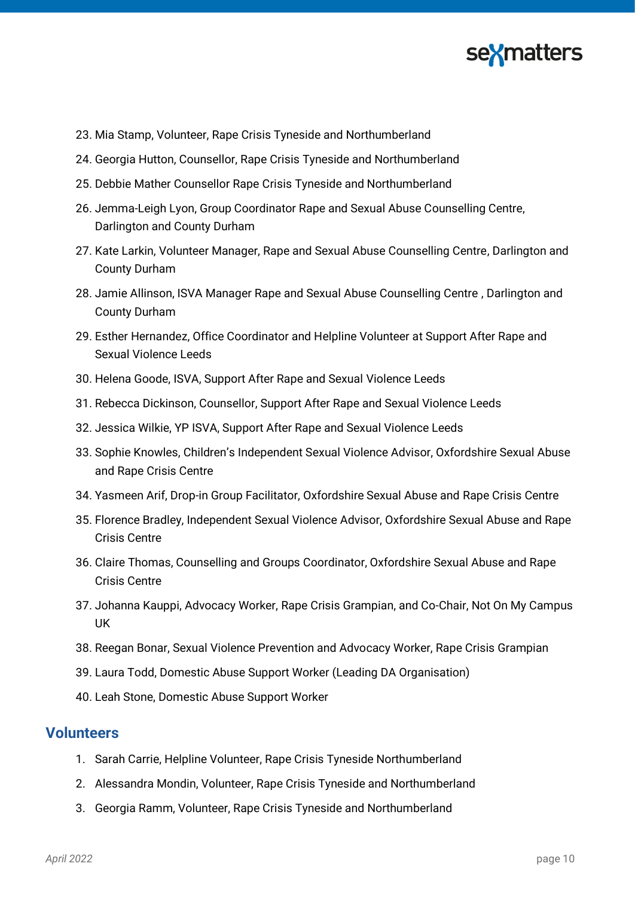

- 23. Mia Stamp, Volunteer, Rape Crisis Tyneside and Northumberland
- 24. Georgia Hutton, Counsellor, Rape Crisis Tyneside and Northumberland
- 25. Debbie Mather Counsellor Rape Crisis Tyneside and Northumberland
- 26. Jemma-Leigh Lyon, Group Coordinator Rape and Sexual Abuse Counselling Centre, Darlington and County Durham
- 27. Kate Larkin, Volunteer Manager, Rape and Sexual Abuse Counselling Centre, Darlington and County Durham
- 28. Jamie Allinson, ISVA Manager Rape and Sexual Abuse Counselling Centre , Darlington and County Durham
- 29. Esther Hernandez, Office Coordinator and Helpline Volunteer at Support After Rape and Sexual Violence Leeds
- 30. Helena Goode, ISVA, Support After Rape and Sexual Violence Leeds
- 31. Rebecca Dickinson, Counsellor, Support After Rape and Sexual Violence Leeds
- 32. Jessica Wilkie, YP ISVA, Support After Rape and Sexual Violence Leeds
- 33. Sophie Knowles, Children's Independent Sexual Violence Advisor, Oxfordshire Sexual Abuse and Rape Crisis Centre
- 34. Yasmeen Arif, Drop-in Group Facilitator, Oxfordshire Sexual Abuse and Rape Crisis Centre
- 35. Florence Bradley, Independent Sexual Violence Advisor, Oxfordshire Sexual Abuse and Rape Crisis Centre
- 36. Claire Thomas, Counselling and Groups Coordinator, Oxfordshire Sexual Abuse and Rape Crisis Centre
- 37. Johanna Kauppi, Advocacy Worker, Rape Crisis Grampian, and Co-Chair, Not On My Campus UK
- 38. Reegan Bonar, Sexual Violence Prevention and Advocacy Worker, Rape Crisis Grampian
- 39. Laura Todd, Domestic Abuse Support Worker (Leading DA Organisation)
- 40. Leah Stone, Domestic Abuse Support Worker

#### **Volunteers**

- 1. Sarah Carrie, Helpline Volunteer, Rape Crisis Tyneside Northumberland
- 2. Alessandra Mondin, Volunteer, Rape Crisis Tyneside and Northumberland
- 3. Georgia Ramm, Volunteer, Rape Crisis Tyneside and Northumberland